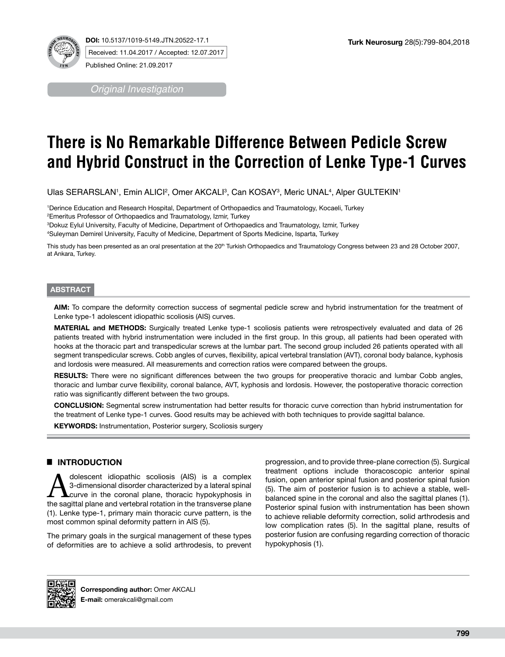

**DOI:** 10.5137/1019-5149.JTN.20522-17.1 Received: 11.04.2017 / Accepted: 12.07.2017

*Original Investigation*

Published Online: 21.09.2017

# **There is No Remarkable Difference Between Pedicle Screw and Hybrid Construct in the Correction of Lenke Type-1 Curves**

Ulas SERARSLAN1, Emin ALICI<del>2, Omer AKCALI3, Can KOSAY3, Meric UNAL4, Alper GULTEKIN1</del>

1 Derince Education and Research Hospital, Department of Orthopaedics and Traumatology, Kocaeli, Turkey 2 Emeritus Professor of Orthopaedics and Traumatology, Izmir, Turkey

3 Dokuz Eylul University, Faculty of Medicine, Department of Orthopaedics and Traumatology, Izmir, Turkey 4 Suleyman Demirel University, Faculty of Medicine, Department of Sports Medicine, Isparta, Turkey

This study has been presented as an oral presentation at the 20<sup>th</sup> Turkish Orthopaedics and Traumatology Congress between 23 and 28 October 2007, at Ankara, Turkey.

#### **ABSTRACT**

**AIM:** To compare the deformity correction success of segmental pedicle screw and hybrid instrumentation for the treatment of Lenke type-1 adolescent idiopathic scoliosis (AIS) curves.

**MATERIAL and METHODS:** Surgically treated Lenke type-1 scoliosis patients were retrospectively evaluated and data of 26 patients treated with hybrid instrumentation were included in the first group. In this group, all patients had been operated with hooks at the thoracic part and transpedicular screws at the lumbar part. The second group included 26 patients operated with all segment transpedicular screws. Cobb angles of curves, flexibility, apical vertebral translation (AVT), coronal body balance, kyphosis and lordosis were measured. All measurements and correction ratios were compared between the groups.

**RESULTS:** There were no significant differences between the two groups for preoperative thoracic and lumbar Cobb angles, thoracic and lumbar curve flexibility, coronal balance, AVT, kyphosis and lordosis. However, the postoperative thoracic correction ratio was significantly different between the two groups.

**CONCLUSION:** Segmental screw instrumentation had better results for thoracic curve correction than hybrid instrumentation for the treatment of Lenke type-1 curves. Good results may be achieved with both techniques to provide sagittal balance.

**KEYWORDS:** Instrumentation, Posterior surgery, Scoliosis surgery

## █ **INTRODUCTION**

Adolescent idiopathic scoliosis (AIS) is a complex<br>3-dimensional disorder characterized by a lateral spinal<br>the sociital plane and vertebral ratation in the transverse plane 3-dimensional disorder characterized by a lateral spinal the sagittal plane and vertebral rotation in the transverse plane (1). Lenke type-1, primary main thoracic curve pattern, is the most common spinal deformity pattern in AIS (5).

The primary goals in the surgical management of these types of deformities are to achieve a solid arthrodesis, to prevent

progression, and to provide three-plane correction (5). Surgical treatment options include thoracoscopic anterior spinal fusion, open anterior spinal fusion and posterior spinal fusion (5). The aim of posterior fusion is to achieve a stable, wellbalanced spine in the coronal and also the sagittal planes (1). Posterior spinal fusion with instrumentation has been shown to achieve reliable deformity correction, solid arthrodesis and low complication rates (5). In the sagittal plane, results of posterior fusion are confusing regarding correction of thoracic hypokyphosis (1).



**Corresponding author:** Omer AKCALI **E-mail:** omerakcali@gmail.com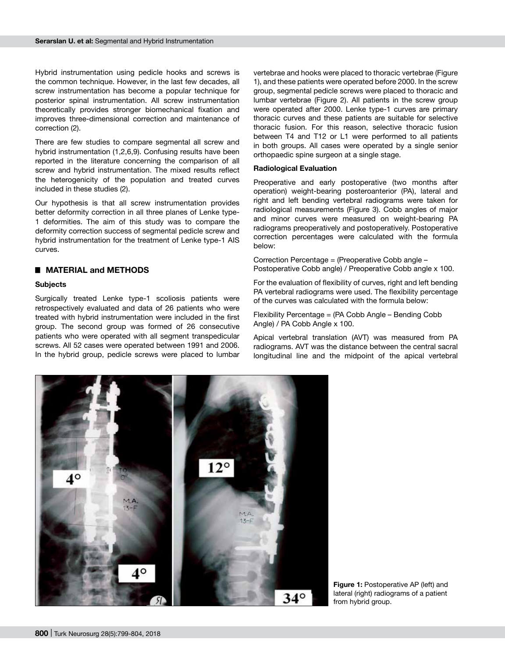Hybrid instrumentation using pedicle hooks and screws is the common technique. However, in the last few decades, all screw instrumentation has become a popular technique for posterior spinal instrumentation. All screw instrumentation theoretically provides stronger biomechanical fixation and improves three-dimensional correction and maintenance of correction (2).

There are few studies to compare segmental all screw and hybrid instrumentation (1,2,6,9). Confusing results have been reported in the literature concerning the comparison of all screw and hybrid instrumentation. The mixed results reflect the heterogenicity of the population and treated curves included in these studies (2).

Our hypothesis is that all screw instrumentation provides better deformity correction in all three planes of Lenke type-1 deformities. The aim of this study was to compare the deformity correction success of segmental pedicle screw and hybrid instrumentation for the treatment of Lenke type-1 AIS curves.

## █ **MATERIAL and METHODS**

#### **Subjects**

Surgically treated Lenke type-1 scoliosis patients were retrospectively evaluated and data of 26 patients who were treated with hybrid instrumentation were included in the first group. The second group was formed of 26 consecutive patients who were operated with all segment transpedicular screws. All 52 cases were operated between 1991 and 2006. In the hybrid group, pedicle screws were placed to lumbar vertebrae and hooks were placed to thoracic vertebrae (Figure 1), and these patients were operated before 2000. In the screw group, segmental pedicle screws were placed to thoracic and lumbar vertebrae (Figure 2). All patients in the screw group were operated after 2000. Lenke type-1 curves are primary thoracic curves and these patients are suitable for selective thoracic fusion. For this reason, selective thoracic fusion between T4 and T12 or L1 were performed to all patients in both groups. All cases were operated by a single senior orthopaedic spine surgeon at a single stage.

#### **Radiological Evaluation**

Preoperative and early postoperative (two months after operation) weight-bearing posteroanterior (PA), lateral and right and left bending vertebral radiograms were taken for radiological measurements (Figure 3). Cobb angles of major and minor curves were measured on weight-bearing PA radiograms preoperatively and postoperatively. Postoperative correction percentages were calculated with the formula below:

Correction Percentage = (Preoperative Cobb angle – Postoperative Cobb angle) / Preoperative Cobb angle x 100.

For the evaluation of flexibility of curves, right and left bending PA vertebral radiograms were used. The flexibility percentage of the curves was calculated with the formula below:

Flexibility Percentage = (PA Cobb Angle – Bending Cobb Angle) / PA Cobb Angle x 100.

Apical vertebral translation (AVT) was measured from PA radiograms. AVT was the distance between the central sacral longitudinal line and the midpoint of the apical vertebral



**Figure 1: Postoperative AP (left) and** lateral (right) radiograms of a patient from hybrid group.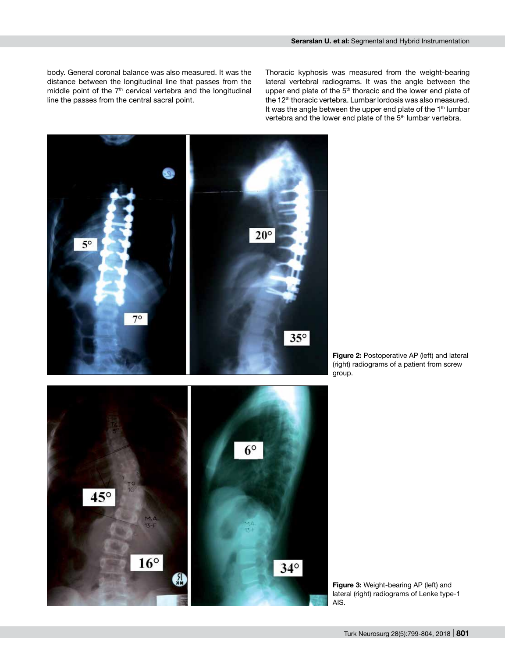body. General coronal balance was also measured. It was the distance between the longitudinal line that passes from the middle point of the 7<sup>th</sup> cervical vertebra and the longitudinal line the passes from the central sacral point.

Thoracic kyphosis was measured from the weight-bearing lateral vertebral radiograms. It was the angle between the upper end plate of the 5<sup>th</sup> thoracic and the lower end plate of the 12<sup>th</sup> thoracic vertebra. Lumbar lordosis was also measured. It was the angle between the upper end plate of the  $1<sup>th</sup>$  lumbar vertebra and the lower end plate of the 5<sup>th</sup> lumbar vertebra.







**Figure 3:** Weight-bearing AP (left) and lateral (right) radiograms of Lenke type-1 AIS.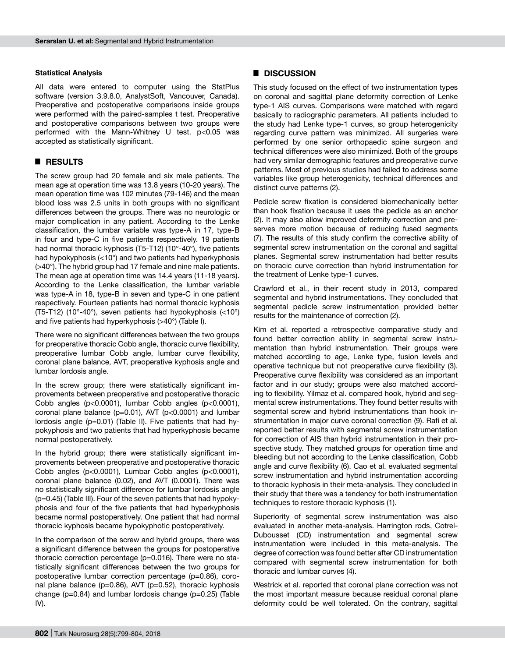#### **Statistical Analysis**

All data were entered to computer using the StatPlus software (version 3.9.8.0, AnalystSoft, Vancouver, Canada). Preoperative and postoperative comparisons inside groups were performed with the paired-samples t test. Preoperative and postoperative comparisons between two groups were performed with the Mann-Whitney U test. p<0.05 was accepted as statistically significant.

## █ **RESULTS**

The screw group had 20 female and six male patients. The mean age at operation time was 13.8 years (10-20 years). The mean operation time was 102 minutes (79-146) and the mean blood loss was 2.5 units in both groups with no significant differences between the groups. There was no neurologic or major complication in any patient. According to the Lenke classification, the lumbar variable was type-A in 17, type-B in four and type-C in five patients respectively. 19 patients had normal thoracic kyphosis (T5-T12) (10°-40°), five patients had hypokyphosis (<10°) and two patients had hyperkyphosis (>40°). The hybrid group had 17 female and nine male patients. The mean age at operation time was 14.4 years (11-18 years). According to the Lenke classification, the lumbar variable was type-A in 18, type-B in seven and type-C in one patient respectively. Fourteen patients had normal thoracic kyphosis (T5-T12) (10°-40°), seven patients had hypokyphosis (<10°) and five patients had hyperkyphosis (>40°) (Table I).

There were no significant differences between the two groups for preoperative thoracic Cobb angle, thoracic curve flexibility, preoperative lumbar Cobb angle, lumbar curve flexibility, coronal plane balance, AVT, preoperative kyphosis angle and lumbar lordosis angle.

In the screw group; there were statistically significant improvements between preoperative and postoperative thoracic Cobb angles (p<0.0001), lumbar Cobb angles (p<0.0001), coronal plane balance (p=0.01), AVT (p<0.0001) and lumbar lordosis angle (p=0.01) (Table II). Five patients that had hypokyphosis and two patients that had hyperkyphosis became normal postoperatively.

In the hybrid group; there were statistically significant improvements between preoperative and postoperative thoracic Cobb angles (p<0.0001), Lumbar Cobb angles (p<0.0001), coronal plane balance (0.02), and AVT (0.0001). There was no statistically significant difference for lumbar lordosis angle (p=0.45) (Table III). Four of the seven patients that had hypokyphosis and four of the five patients that had hyperkyphosis became normal postoperatively. One patient that had normal thoracic kyphosis became hypokyphotic postoperatively.

In the comparison of the screw and hybrid groups, there was a significant difference between the groups for postoperative thoracic correction percentage (p=0.016). There were no statistically significant differences between the two groups for postoperative lumbar correction percentage (p=0.86), coronal plane balance (p=0.86), AVT (p=0.52), thoracic kyphosis change (p=0.84) and lumbar lordosis change (p=0.25) (Table IV).

#### █ **DISCUSSION**

This study focused on the effect of two instrumentation types on coronal and sagittal plane deformity correction of Lenke type-1 AIS curves. Comparisons were matched with regard basically to radiographic parameters. All patients included to the study had Lenke type-1 curves, so group heterogenicity regarding curve pattern was minimized. All surgeries were performed by one senior orthopaedic spine surgeon and technical differences were also minimized. Both of the groups had very similar demographic features and preoperative curve patterns. Most of previous studies had failed to address some variables like group heterogenicity, technical differences and distinct curve patterns (2).

Pedicle screw fixation is considered biomechanically better than hook fixation because it uses the pedicle as an anchor (2). It may also allow improved deformity correction and preserves more motion because of reducing fused segments (7). The results of this study confirm the corrective ability of segmental screw instrumentation on the coronal and sagittal planes. Segmental screw instrumentation had better results on thoracic curve correction than hybrid instrumentation for the treatment of Lenke type-1 curves.

Crawford et al., in their recent study in 2013, compared segmental and hybrid instrumentations. They concluded that segmental pedicle screw instrumentation provided better results for the maintenance of correction (2).

Kim et al. reported a retrospective comparative study and found better correction ability in segmental screw instrumentation than hybrid instrumentation. Their groups were matched according to age, Lenke type, fusion levels and operative technique but not preoperative curve flexibility (3). Preoperative curve flexibility was considered as an important factor and in our study; groups were also matched according to flexibility. Yilmaz et al. compared hook, hybrid and segmental screw instrumentations. They found better results with segmental screw and hybrid instrumentations than hook instrumentation in major curve coronal correction (9). Rafi et al. reported better results with segmental screw instrumentation for correction of AIS than hybrid instrumentation in their prospective study. They matched groups for operation time and bleeding but not according to the Lenke classification, Cobb angle and curve flexibility (6). Cao et al. evaluated segmental screw instrumentation and hybrid instrumentation according to thoracic kyphosis in their meta-analysis. They concluded in their study that there was a tendency for both instrumentation techniques to restore thoracic kyphosis (1).

Superiority of segmental screw instrumentation was also evaluated in another meta-analysis. Harrington rods, Cotrel-Dubousset (CD) instrumentation and segmental screw instrumentation were included in this meta-analysis. The degree of correction was found better after CD instrumentation compared with segmental screw instrumentation for both thoracic and lumbar curves (4).

Westrick et al. reported that coronal plane correction was not the most important measure because residual coronal plane deformity could be well tolerated. On the contrary, sagittal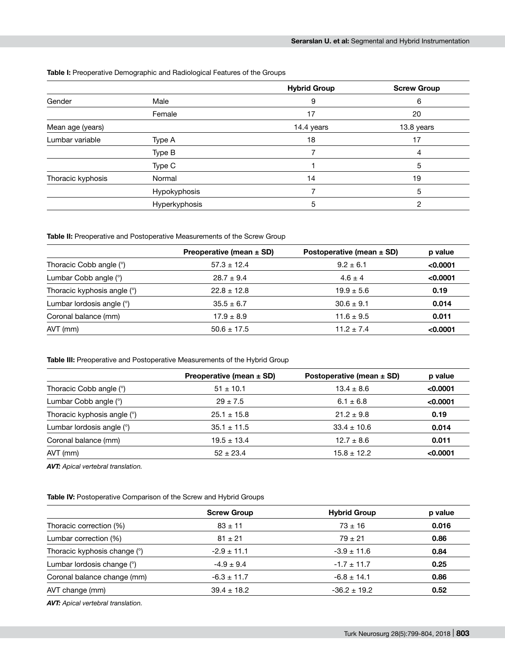| <b>Table I:</b> Preoperative Demographic and Radiological Features of the Groups |  |
|----------------------------------------------------------------------------------|--|
|----------------------------------------------------------------------------------|--|

|                   |               | <b>Hybrid Group</b> | <b>Screw Group</b> |
|-------------------|---------------|---------------------|--------------------|
| Gender            | Male          | 9                   | 6                  |
|                   | Female        | 17                  | 20                 |
| Mean age (years)  |               | 14.4 years          | 13.8 years         |
| Lumbar variable   | Type A        | 18                  | 17                 |
|                   | Type B        |                     | 4                  |
|                   | Type C        |                     | 5                  |
| Thoracic kyphosis | Normal        | 14                  | 19                 |
|                   | Hypokyphosis  |                     | 5                  |
|                   | Hyperkyphosis | 5                   | 2                  |

#### **Table II:** Preoperative and Postoperative Measurements of the Screw Group

|                             | Preoperative (mean ± SD) | Postoperative (mean $\pm$ SD) | p value  |
|-----------------------------|--------------------------|-------------------------------|----------|
| Thoracic Cobb angle (°)     | $57.3 \pm 12.4$          | $9.2 \pm 6.1$                 | < 0.0001 |
| Lumbar Cobb angle (°)       | $28.7 \pm 9.4$           | $4.6 \pm 4$                   | < 0.0001 |
| Thoracic kyphosis angle (°) | $22.8 \pm 12.8$          | $19.9 \pm 5.6$                | 0.19     |
| Lumbar lordosis angle (°)   | $35.5 \pm 6.7$           | $30.6 \pm 9.1$                | 0.014    |
| Coronal balance (mm)        | $17.9 \pm 8.9$           | $11.6 \pm 9.5$                | 0.011    |
| $AVT$ (mm)                  | $50.6 \pm 17.5$          | $11.2 \pm 7.4$                | < 0.0001 |

## **Table III:** Preoperative and Postoperative Measurements of the Hybrid Group

|                             | Preoperative (mean $\pm$ SD) | Postoperative (mean $\pm$ SD) | p value  |
|-----------------------------|------------------------------|-------------------------------|----------|
| Thoracic Cobb angle (°)     | $51 \pm 10.1$                | $13.4 \pm 8.6$                | < 0.0001 |
| Lumbar Cobb angle (°)       | $29 \pm 7.5$                 | $6.1 \pm 6.8$                 | < 0.0001 |
| Thoracic kyphosis angle (°) | $25.1 \pm 15.8$              | $21.2 \pm 9.8$                | 0.19     |
| Lumbar lordosis angle (°)   | $35.1 \pm 11.5$              | $33.4 \pm 10.6$               | 0.014    |
| Coronal balance (mm)        | $19.5 \pm 13.4$              | $12.7 \pm 8.6$                | 0.011    |
| $AVT$ (mm)                  | $52 \pm 23.4$                | $15.8 \pm 12.2$               | < 0.0001 |

*AVT: Apical vertebral translation.*

**Table IV:** Postoperative Comparison of the Screw and Hybrid Groups

|                              | <b>Screw Group</b> | <b>Hybrid Group</b> | p value |
|------------------------------|--------------------|---------------------|---------|
| Thoracic correction (%)      | $83 \pm 11$        | $73 \pm 16$         | 0.016   |
| Lumbar correction (%)        | $81 \pm 21$        | $79 \pm 21$         | 0.86    |
| Thoracic kyphosis change (°) | $-2.9 \pm 11.1$    | $-3.9 \pm 11.6$     | 0.84    |
| Lumbar lordosis change (°)   | $-4.9 \pm 9.4$     | $-1.7 \pm 11.7$     | 0.25    |
| Coronal balance change (mm)  | $-6.3 \pm 11.7$    | $-6.8 \pm 14.1$     | 0.86    |
| AVT change (mm)              | $39.4 \pm 18.2$    | $-36.2 \pm 19.2$    | 0.52    |

*AVT: Apical vertebral translation.*